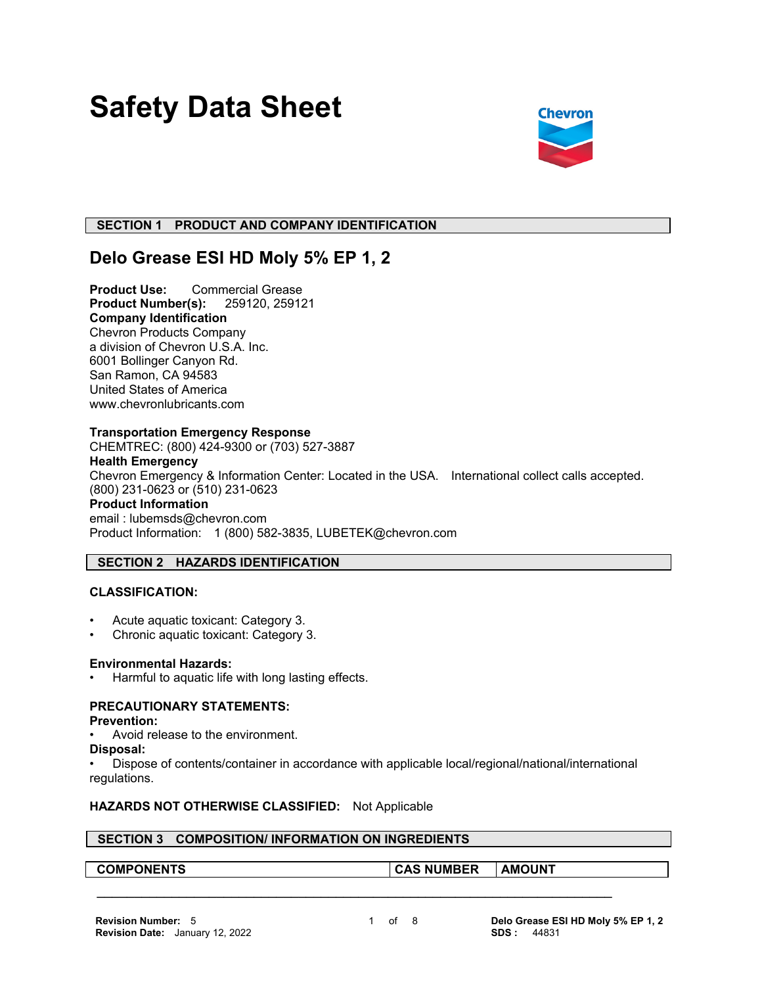# **Safety Data Sheet**



# **SECTION 1 PRODUCT AND COMPANY IDENTIFICATION**

# **Delo Grease ESI HD Moly 5% EP 1, 2**

**Product Use:** Commercial Grease **Product Number(s):** 259120, 259121 **Company Identification** Chevron Products Company a division of Chevron U.S.A. Inc. 6001 Bollinger Canyon Rd. San Ramon, CA 94583 United States of America www.chevronlubricants.com

#### **Transportation Emergency Response**

CHEMTREC: (800) 424-9300 or (703) 527-3887 **Health Emergency** Chevron Emergency & Information Center: Located in the USA. International collect calls accepted. (800) 231-0623 or (510) 231-0623 **Product Information** email : lubemsds@chevron.com Product Information: 1 (800) 582-3835, LUBETEK@chevron.com

# **SECTION 2 HAZARDS IDENTIFICATION**

# **CLASSIFICATION:**

- Acute aquatic toxicant: Category 3.
- Chronic aquatic toxicant: Category 3.

#### **Environmental Hazards:**

Harmful to aquatic life with long lasting effects.

# **PRECAUTIONARY STATEMENTS:**

#### **Prevention:**

- Avoid release to the environment.
- **Disposal:**

• Dispose of contents/container in accordance with applicable local/regional/national/international regulations.

 **\_\_\_\_\_\_\_\_\_\_\_\_\_\_\_\_\_\_\_\_\_\_\_\_\_\_\_\_\_\_\_\_\_\_\_\_\_\_\_\_\_\_\_\_\_\_\_\_\_\_\_\_\_\_\_\_\_\_\_\_\_\_\_\_\_\_\_\_\_**

# **HAZARDS NOT OTHERWISE CLASSIFIED:** Not Applicable

# **SECTION 3 COMPOSITION/ INFORMATION ON INGREDIENTS**

**COMPONENTS CAS NUMBER AMOUNT**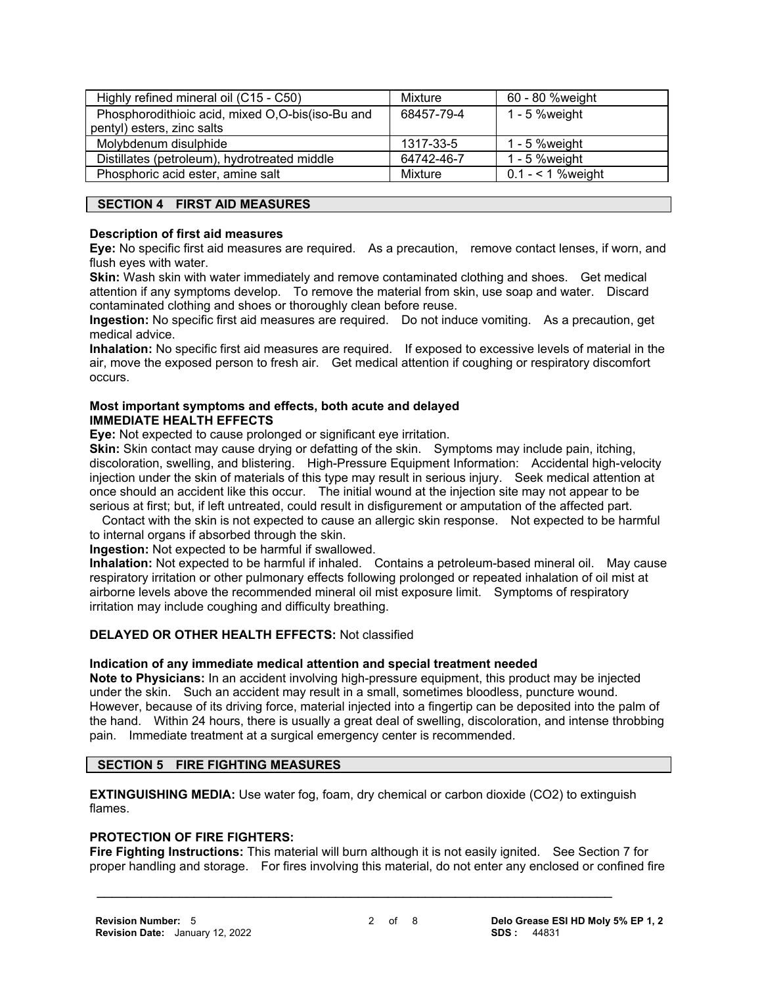| Highly refined mineral oil (C15 - C50)           | Mixture    | 60 - 80 %weight    |
|--------------------------------------------------|------------|--------------------|
| Phosphorodithioic acid, mixed O,O-bis(iso-Bu and | 68457-79-4 | $1 - 5$ % weight   |
| pentyl) esters, zinc salts                       |            |                    |
| Molybdenum disulphide                            | 1317-33-5  | 1 - 5 % weight     |
| Distillates (petroleum), hydrotreated middle     | 64742-46-7 | $1 - 5$ % weight   |
| Phosphoric acid ester, amine salt                | Mixture    | $0.1 - 1$ % weight |

# **SECTION 4 FIRST AID MEASURES**

#### **Description of first aid measures**

**Eye:** No specific first aid measures are required. As a precaution, remove contact lenses, if worn, and flush eyes with water.

**Skin:** Wash skin with water immediately and remove contaminated clothing and shoes. Get medical attention if any symptoms develop. To remove the material from skin, use soap and water. Discard contaminated clothing and shoes or thoroughly clean before reuse.

**Ingestion:** No specific first aid measures are required. Do not induce vomiting. As a precaution, get medical advice.

**Inhalation:** No specific first aid measures are required. If exposed to excessive levels of material in the air, move the exposed person to fresh air. Get medical attention if coughing or respiratory discomfort occurs.

#### **Most important symptoms and effects, both acute and delayed IMMEDIATE HEALTH EFFECTS**

**Eye:** Not expected to cause prolonged or significant eye irritation.

**Skin:** Skin contact may cause drying or defatting of the skin. Symptoms may include pain, itching, discoloration, swelling, and blistering. High-Pressure Equipment Information: Accidental high-velocity injection under the skin of materials of this type may result in serious injury. Seek medical attention at once should an accident like this occur. The initial wound at the injection site may not appear to be serious at first; but, if left untreated, could result in disfigurement or amputation of the affected part.

 Contact with the skin is not expected to cause an allergic skin response. Not expected to be harmful to internal organs if absorbed through the skin.

**Ingestion:** Not expected to be harmful if swallowed.

**Inhalation:** Not expected to be harmful if inhaled. Contains a petroleum-based mineral oil. May cause respiratory irritation or other pulmonary effects following prolonged or repeated inhalation of oil mist at airborne levels above the recommended mineral oil mist exposure limit. Symptoms of respiratory irritation may include coughing and difficulty breathing.

# **DELAYED OR OTHER HEALTH EFFECTS:** Not classified

# **Indication of any immediate medical attention and special treatment needed**

**Note to Physicians:** In an accident involving high-pressure equipment, this product may be injected under the skin. Such an accident may result in a small, sometimes bloodless, puncture wound. However, because of its driving force, material injected into a fingertip can be deposited into the palm of the hand. Within 24 hours, there is usually a great deal of swelling, discoloration, and intense throbbing pain. Immediate treatment at a surgical emergency center is recommended.

# **SECTION 5 FIRE FIGHTING MEASURES**

**EXTINGUISHING MEDIA:** Use water fog, foam, dry chemical or carbon dioxide (CO2) to extinguish flames.

 **\_\_\_\_\_\_\_\_\_\_\_\_\_\_\_\_\_\_\_\_\_\_\_\_\_\_\_\_\_\_\_\_\_\_\_\_\_\_\_\_\_\_\_\_\_\_\_\_\_\_\_\_\_\_\_\_\_\_\_\_\_\_\_\_\_\_\_\_\_**

# **PROTECTION OF FIRE FIGHTERS:**

**Fire Fighting Instructions:** This material will burn although it is not easily ignited. See Section 7 for proper handling and storage. For fires involving this material, do not enter any enclosed or confined fire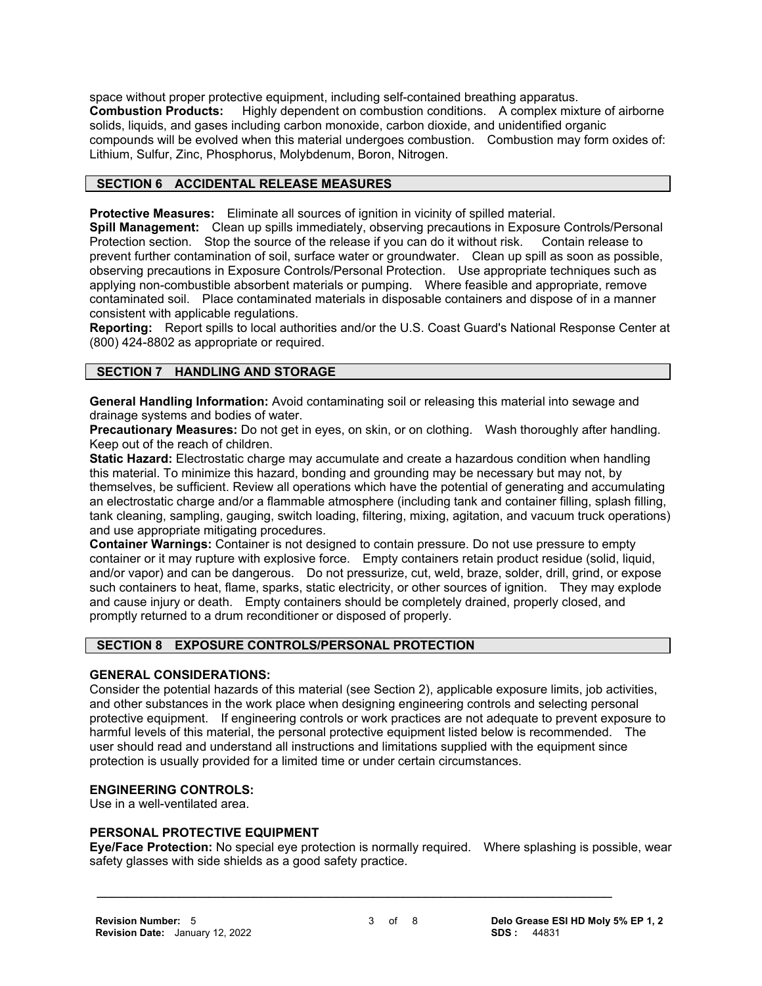space without proper protective equipment, including self-contained breathing apparatus. **Combustion Products:** Highly dependent on combustion conditions. A complex mixture of airborne solids, liquids, and gases including carbon monoxide, carbon dioxide, and unidentified organic compounds will be evolved when this material undergoes combustion. Combustion may form oxides of: Lithium, Sulfur, Zinc, Phosphorus, Molybdenum, Boron, Nitrogen.

# **SECTION 6 ACCIDENTAL RELEASE MEASURES**

**Protective Measures:** Eliminate all sources of ignition in vicinity of spilled material.

**Spill Management:** Clean up spills immediately, observing precautions in Exposure Controls/Personal Protection section. Stop the source of the release if you can do it without risk. Contain release to prevent further contamination of soil, surface water or groundwater. Clean up spill as soon as possible, observing precautions in Exposure Controls/Personal Protection. Use appropriate techniques such as applying non-combustible absorbent materials or pumping. Where feasible and appropriate, remove contaminated soil. Place contaminated materials in disposable containers and dispose of in a manner consistent with applicable regulations.

**Reporting:** Report spills to local authorities and/or the U.S. Coast Guard's National Response Center at (800) 424-8802 as appropriate or required.

# **SECTION 7 HANDLING AND STORAGE**

**General Handling Information:** Avoid contaminating soil or releasing this material into sewage and drainage systems and bodies of water.

**Precautionary Measures:** Do not get in eyes, on skin, or on clothing. Wash thoroughly after handling. Keep out of the reach of children.

**Static Hazard:** Electrostatic charge may accumulate and create a hazardous condition when handling this material. To minimize this hazard, bonding and grounding may be necessary but may not, by themselves, be sufficient. Review all operations which have the potential of generating and accumulating an electrostatic charge and/or a flammable atmosphere (including tank and container filling, splash filling, tank cleaning, sampling, gauging, switch loading, filtering, mixing, agitation, and vacuum truck operations) and use appropriate mitigating procedures.

**Container Warnings:** Container is not designed to contain pressure. Do not use pressure to empty container or it may rupture with explosive force. Empty containers retain product residue (solid, liquid, and/or vapor) and can be dangerous. Do not pressurize, cut, weld, braze, solder, drill, grind, or expose such containers to heat, flame, sparks, static electricity, or other sources of ignition. They may explode and cause injury or death. Empty containers should be completely drained, properly closed, and promptly returned to a drum reconditioner or disposed of properly.

#### **SECTION 8 EXPOSURE CONTROLS/PERSONAL PROTECTION**

#### **GENERAL CONSIDERATIONS:**

Consider the potential hazards of this material (see Section 2), applicable exposure limits, job activities, and other substances in the work place when designing engineering controls and selecting personal protective equipment. If engineering controls or work practices are not adequate to prevent exposure to harmful levels of this material, the personal protective equipment listed below is recommended. The user should read and understand all instructions and limitations supplied with the equipment since protection is usually provided for a limited time or under certain circumstances.

# **ENGINEERING CONTROLS:**

Use in a well-ventilated area.

#### **PERSONAL PROTECTIVE EQUIPMENT**

**Eye/Face Protection:** No special eye protection is normally required. Where splashing is possible, wear safety glasses with side shields as a good safety practice.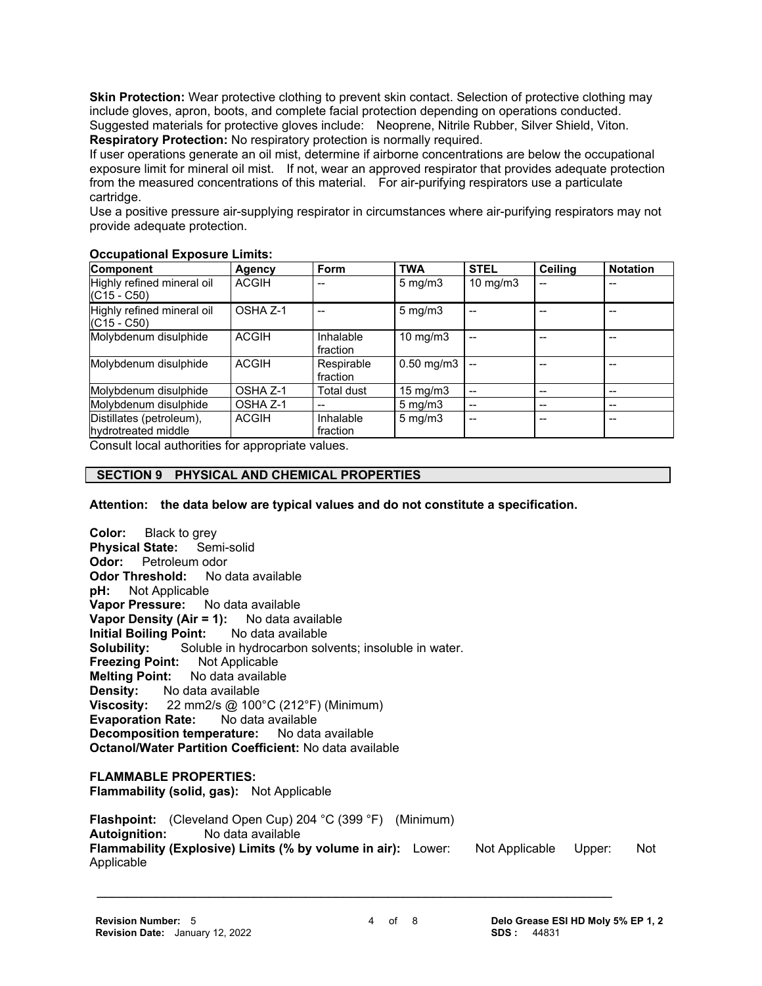**Skin Protection:** Wear protective clothing to prevent skin contact. Selection of protective clothing may include gloves, apron, boots, and complete facial protection depending on operations conducted. Suggested materials for protective gloves include: Neoprene, Nitrile Rubber, Silver Shield, Viton. **Respiratory Protection:** No respiratory protection is normally required.

If user operations generate an oil mist, determine if airborne concentrations are below the occupational exposure limit for mineral oil mist. If not, wear an approved respirator that provides adequate protection from the measured concentrations of this material. For air-purifying respirators use a particulate cartridge.

Use a positive pressure air-supplying respirator in circumstances where air-purifying respirators may not provide adequate protection.

#### **Occupational Exposure Limits:**

| <b>Component</b>                                | Agency       | Form                   | <b>TWA</b>            | <b>STEL</b> | <b>Ceiling</b> | <b>Notation</b> |
|-------------------------------------------------|--------------|------------------------|-----------------------|-------------|----------------|-----------------|
| Highly refined mineral oil<br>$(C15 - C50)$     | <b>ACGIH</b> |                        | $5 \text{ mg/m}$      | 10 $mg/m3$  |                |                 |
| Highly refined mineral oil<br>$(C15 - C50)$     | OSHA Z-1     |                        | $5 \text{ mg/m}$ 3    |             |                |                 |
| Molybdenum disulphide                           | <b>ACGIH</b> | Inhalable<br>fraction  | 10 mg/m $3$           |             |                |                 |
| Molybdenum disulphide                           | <b>ACGIH</b> | Respirable<br>fraction | $0.50$ mg/m $3$       |             |                |                 |
| Molybdenum disulphide                           | OSHA Z-1     | Total dust             | $15 \text{ mg/m}$     | $-$         |                | $-$             |
| Molybdenum disulphide                           | OSHA Z-1     |                        | $5 \text{ mg/m}$ 3    | $-$         | --             | --              |
| Distillates (petroleum),<br>hydrotreated middle | <b>ACGIH</b> | Inhalable<br>fraction  | $5 \,\mathrm{mq/m}$ 3 | --          |                | --              |

Consult local authorities for appropriate values.

# **SECTION 9 PHYSICAL AND CHEMICAL PROPERTIES**

**Attention: the data below are typical values and do not constitute a specification.**

**Color:** Black to grey **Physical State:** Semi-solid **Odor:** Petroleum odor **Odor Threshold:** No data available **pH:** Not Applicable **Vapor Pressure:** No data available **Vapor Density (Air = 1):** No data available **Initial Boiling Point:** No data available **Solubility:** Soluble in hydrocarbon solvents; insoluble in water. **Freezing Point:** Not Applicable **Melting Point:** No data available **Density:** No data available **Viscosity:** 22 mm2/s @ 100°C (212°F) (Minimum) **Evaporation Rate:** No data available **Decomposition temperature:** No data available **Octanol/Water Partition Coefficient:** No data available **FLAMMABLE PROPERTIES: Flammability (solid, gas):** Not Applicable **Flashpoint:** (Cleveland Open Cup) 204 °C (399 °F) (Minimum) **Autoignition:** No data available **Flammability (Explosive) Limits (% by volume in air):** Lower: Not Applicable Upper: Not

Applicable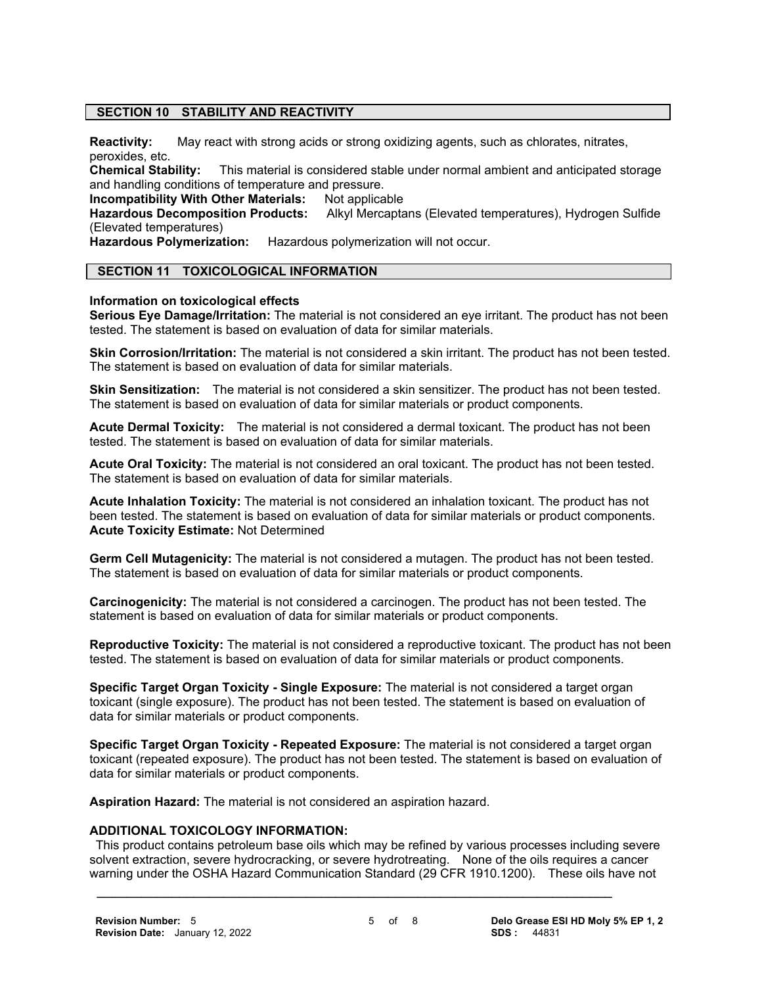#### **SECTION 10 STABILITY AND REACTIVITY**

**Reactivity:** May react with strong acids or strong oxidizing agents, such as chlorates, nitrates, peroxides, etc.<br>Chemical Stability:

This material is considered stable under normal ambient and anticipated storage and handling conditions of temperature and pressure.

**Incompatibility With Other Materials: Not applicable Hazardous Decomposition Products: Alkyl Mercapta** 

Alkyl Mercaptans (Elevated temperatures), Hydrogen Sulfide (Elevated temperatures)

**Hazardous Polymerization:** Hazardous polymerization will not occur.

# **SECTION 11 TOXICOLOGICAL INFORMATION**

#### **Information on toxicological effects**

**Serious Eye Damage/Irritation:** The material is not considered an eye irritant. The product has not been tested. The statement is based on evaluation of data for similar materials.

**Skin Corrosion/Irritation:** The material is not considered a skin irritant. The product has not been tested. The statement is based on evaluation of data for similar materials.

**Skin Sensitization:** The material is not considered a skin sensitizer. The product has not been tested. The statement is based on evaluation of data for similar materials or product components.

**Acute Dermal Toxicity:** The material is not considered a dermal toxicant. The product has not been tested. The statement is based on evaluation of data for similar materials.

**Acute Oral Toxicity:** The material is not considered an oral toxicant. The product has not been tested. The statement is based on evaluation of data for similar materials.

**Acute Inhalation Toxicity:** The material is not considered an inhalation toxicant. The product has not been tested. The statement is based on evaluation of data for similar materials or product components. **Acute Toxicity Estimate:** Not Determined

**Germ Cell Mutagenicity:** The material is not considered a mutagen. The product has not been tested. The statement is based on evaluation of data for similar materials or product components.

**Carcinogenicity:** The material is not considered a carcinogen. The product has not been tested. The statement is based on evaluation of data for similar materials or product components.

**Reproductive Toxicity:** The material is not considered a reproductive toxicant. The product has not been tested. The statement is based on evaluation of data for similar materials or product components.

**Specific Target Organ Toxicity - Single Exposure:** The material is not considered a target organ toxicant (single exposure). The product has not been tested. The statement is based on evaluation of data for similar materials or product components.

**Specific Target Organ Toxicity - Repeated Exposure:** The material is not considered a target organ toxicant (repeated exposure). The product has not been tested. The statement is based on evaluation of data for similar materials or product components.

**Aspiration Hazard:** The material is not considered an aspiration hazard.

#### **ADDITIONAL TOXICOLOGY INFORMATION:**

 This product contains petroleum base oils which may be refined by various processes including severe solvent extraction, severe hydrocracking, or severe hydrotreating. None of the oils requires a cancer warning under the OSHA Hazard Communication Standard (29 CFR 1910.1200). These oils have not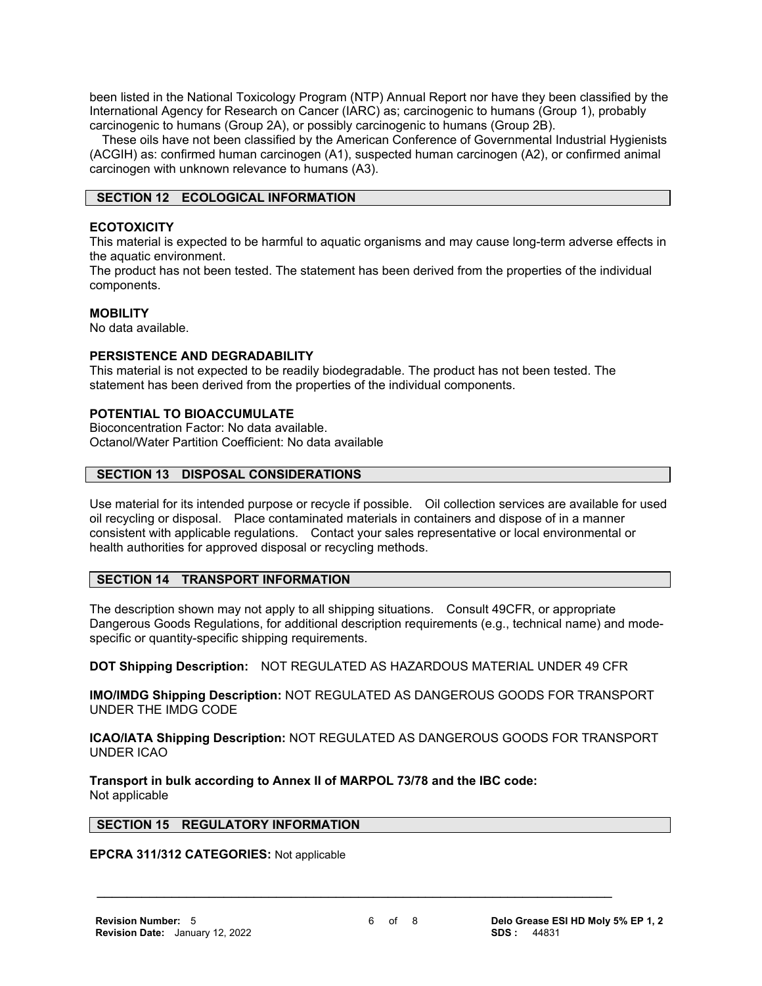been listed in the National Toxicology Program (NTP) Annual Report nor have they been classified by the International Agency for Research on Cancer (IARC) as; carcinogenic to humans (Group 1), probably carcinogenic to humans (Group 2A), or possibly carcinogenic to humans (Group 2B).

 These oils have not been classified by the American Conference of Governmental Industrial Hygienists (ACGIH) as: confirmed human carcinogen (A1), suspected human carcinogen (A2), or confirmed animal carcinogen with unknown relevance to humans (A3).

#### **SECTION 12 ECOLOGICAL INFORMATION**

#### **ECOTOXICITY**

This material is expected to be harmful to aquatic organisms and may cause long-term adverse effects in the aquatic environment.

The product has not been tested. The statement has been derived from the properties of the individual components.

#### **MOBILITY**

No data available.

# **PERSISTENCE AND DEGRADABILITY**

This material is not expected to be readily biodegradable. The product has not been tested. The statement has been derived from the properties of the individual components.

#### **POTENTIAL TO BIOACCUMULATE**

Bioconcentration Factor: No data available. Octanol/Water Partition Coefficient: No data available

# **SECTION 13 DISPOSAL CONSIDERATIONS**

Use material for its intended purpose or recycle if possible. Oil collection services are available for used oil recycling or disposal. Place contaminated materials in containers and dispose of in a manner consistent with applicable regulations. Contact your sales representative or local environmental or health authorities for approved disposal or recycling methods.

# **SECTION 14 TRANSPORT INFORMATION**

The description shown may not apply to all shipping situations. Consult 49CFR, or appropriate Dangerous Goods Regulations, for additional description requirements (e.g., technical name) and modespecific or quantity-specific shipping requirements.

**DOT Shipping Description:** NOT REGULATED AS HAZARDOUS MATERIAL UNDER 49 CFR

**IMO/IMDG Shipping Description:** NOT REGULATED AS DANGEROUS GOODS FOR TRANSPORT UNDER THE IMDG CODE

**ICAO/IATA Shipping Description:** NOT REGULATED AS DANGEROUS GOODS FOR TRANSPORT UNDER ICAO

**Transport in bulk according to Annex II of MARPOL 73/78 and the IBC code:** Not applicable

#### **SECTION 15 REGULATORY INFORMATION**

#### **EPCRA 311/312 CATEGORIES:** Not applicable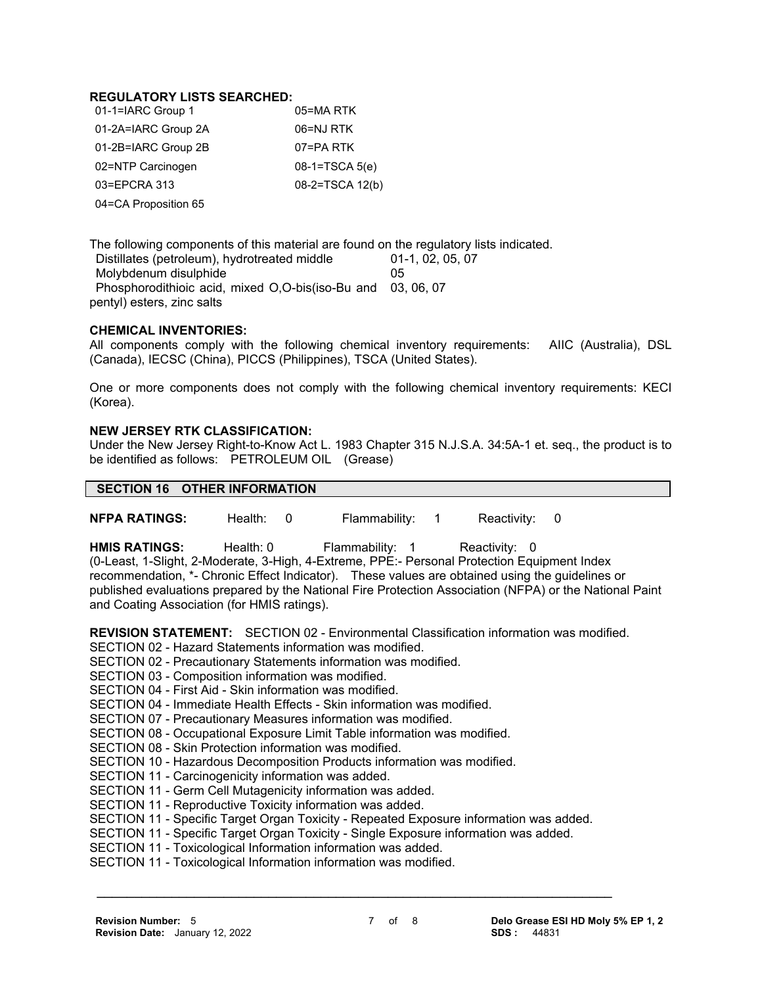#### **REGULATORY LISTS SEARCHED:**

| 01-1=IARC Group 1    | 05=MA RTK        |
|----------------------|------------------|
| 01-2A=IARC Group 2A  | 06=NJ RTK        |
| 01-2B=IARC Group 2B  | 07=PA RTK        |
| 02=NTP Carcinogen    | $08-1=TSCA 5(e)$ |
| 03=EPCRA 313         | 08-2=TSCA 12(b)  |
| 04=CA Proposition 65 |                  |

The following components of this material are found on the regulatory lists indicated. Distillates (petroleum), hydrotreated middle 01-1, 02, 05, 07 Molybdenum disulphide 05 Phosphorodithioic acid, mixed O,O-bis(iso-Bu and 03, 06, 07 pentyl) esters, zinc salts

#### **CHEMICAL INVENTORIES:**

All components comply with the following chemical inventory requirements: AIIC (Australia), DSL (Canada), IECSC (China), PICCS (Philippines), TSCA (United States).

One or more components does not comply with the following chemical inventory requirements: KECI (Korea).

#### **NEW JERSEY RTK CLASSIFICATION:**

Under the New Jersey Right-to-Know Act L. 1983 Chapter 315 N.J.S.A. 34:5A-1 et. seq., the product is to be identified as follows: PETROLEUM OIL (Grease)

# **SECTION 16 OTHER INFORMATION**

**NFPA RATINGS:** Health: 0 Flammability: 1 Reactivity: 0

HMIS RATINGS: Health: 0 Flammability: 1 Reactivity: 0 (0-Least, 1-Slight, 2-Moderate, 3-High, 4-Extreme, PPE:- Personal Protection Equipment Index recommendation, \*- Chronic Effect Indicator). These values are obtained using the guidelines or published evaluations prepared by the National Fire Protection Association (NFPA) or the National Paint and Coating Association (for HMIS ratings).

**REVISION STATEMENT:** SECTION 02 - Environmental Classification information was modified.

SECTION 02 - Hazard Statements information was modified.

SECTION 02 - Precautionary Statements information was modified.

SECTION 03 - Composition information was modified.

SECTION 04 - First Aid - Skin information was modified.

SECTION 04 - Immediate Health Effects - Skin information was modified.

SECTION 07 - Precautionary Measures information was modified.

SECTION 08 - Occupational Exposure Limit Table information was modified.

SECTION 08 - Skin Protection information was modified.

SECTION 10 - Hazardous Decomposition Products information was modified.

SECTION 11 - Carcinogenicity information was added.

SECTION 11 - Germ Cell Mutagenicity information was added.

SECTION 11 - Reproductive Toxicity information was added.

SECTION 11 - Specific Target Organ Toxicity - Repeated Exposure information was added.

 **\_\_\_\_\_\_\_\_\_\_\_\_\_\_\_\_\_\_\_\_\_\_\_\_\_\_\_\_\_\_\_\_\_\_\_\_\_\_\_\_\_\_\_\_\_\_\_\_\_\_\_\_\_\_\_\_\_\_\_\_\_\_\_\_\_\_\_\_\_**

SECTION 11 - Specific Target Organ Toxicity - Single Exposure information was added.

SECTION 11 - Toxicological Information information was added.

SECTION 11 - Toxicological Information information was modified.